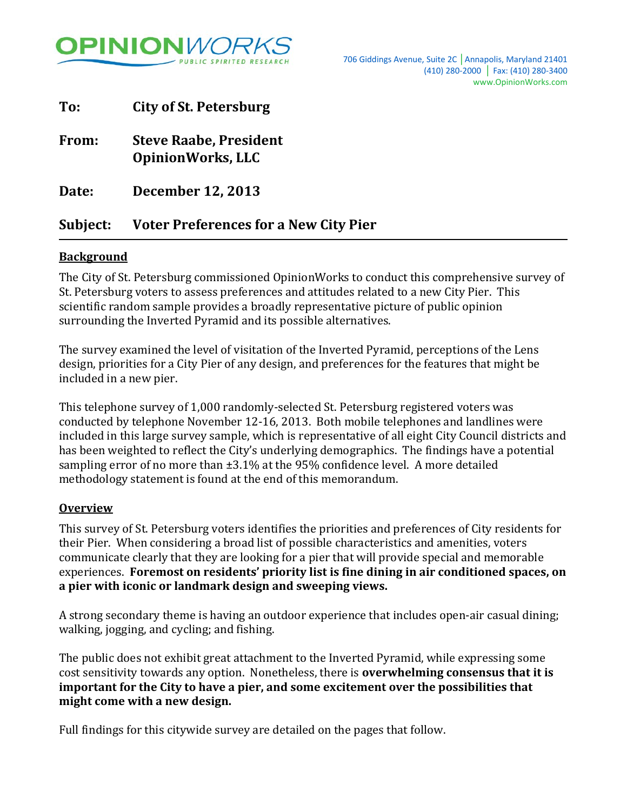

| Subject: | <b>Voter Preferences for a New City Pier</b>              |  |
|----------|-----------------------------------------------------------|--|
| Date:    | <b>December 12, 2013</b>                                  |  |
| From:    | <b>Steve Raabe, President</b><br><b>OpinionWorks, LLC</b> |  |
| To:      | <b>City of St. Petersburg</b>                             |  |

## **Background**

The City of St. Petersburg commissioned OpinionWorks to conduct this comprehensive survey of St. Petersburg voters to assess preferences and attitudes related to a new City Pier. This scientific random sample provides a broadly representative picture of public opinion surrounding the Inverted Pyramid and its possible alternatives.

The survey examined the level of visitation of the Inverted Pyramid, perceptions of the Lens design, priorities for a City Pier of any design, and preferences for the features that might be included in a new pier.

This telephone survey of 1,000 randomly-selected St. Petersburg registered voters was conducted by telephone November 12-16, 2013. Both mobile telephones and landlines were included in this large survey sample, which is representative of all eight City Council districts and has been weighted to reflect the City's underlying demographics. The findings have a potential sampling error of no more than ±3.1% at the 95% confidence level. A more detailed methodology statement is found at the end of this memorandum.

#### **Overview**

This survey of St. Petersburg voters identifies the priorities and preferences of City residents for their Pier. When considering a broad list of possible characteristics and amenities, voters communicate clearly that they are looking for a pier that will provide special and memorable experiences. **Foremost on residents' priority list is fine dining in air conditioned spaces, on a pier with iconic or landmark design and sweeping views.**

A strong secondary theme is having an outdoor experience that includes open-air casual dining; walking, jogging, and cycling; and fishing.

The public does not exhibit great attachment to the Inverted Pyramid, while expressing some cost sensitivity towards any option. Nonetheless, there is **overwhelming consensus that it is important for the City to have a pier, and some excitement over the possibilities that might come with a new design.**

Full findings for this citywide survey are detailed on the pages that follow.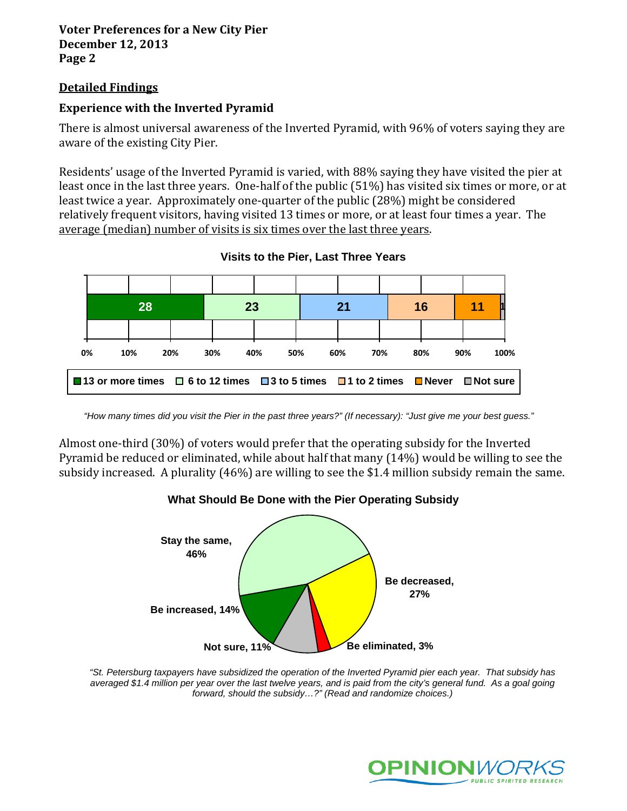## **Detailed Findings**

## **Experience with the Inverted Pyramid**

There is almost universal awareness of the Inverted Pyramid, with 96% of voters saying they are aware of the existing City Pier.

Residents' usage of the Inverted Pyramid is varied, with 88% saying they have visited the pier at least once in the last three years. One-half of the public (51%) has visited six times or more, or at least twice a year. Approximately one-quarter of the public (28%) might be considered relatively frequent visitors, having visited 13 times or more, or at least four times a year. The average (median) number of visits is six times over the last three years.



**Visits to the Pier, Last Three Years**

Almost one-third (30%) of voters would prefer that the operating subsidy for the Inverted Pyramid be reduced or eliminated, while about half that many (14%) would be willing to see the subsidy increased. A plurality (46%) are willing to see the \$1.4 million subsidy remain the same.



*"St. Petersburg taxpayers have subsidized the operation of the Inverted Pyramid pier each year. That subsidy has averaged \$1.4 million per year over the last twelve years, and is paid from the city's general fund. As a goal going forward, should the subsidy…?" (Read and randomize choices.)*



*<sup>&</sup>quot;How many times did you visit the Pier in the past three years?" (If necessary): "Just give me your best guess."*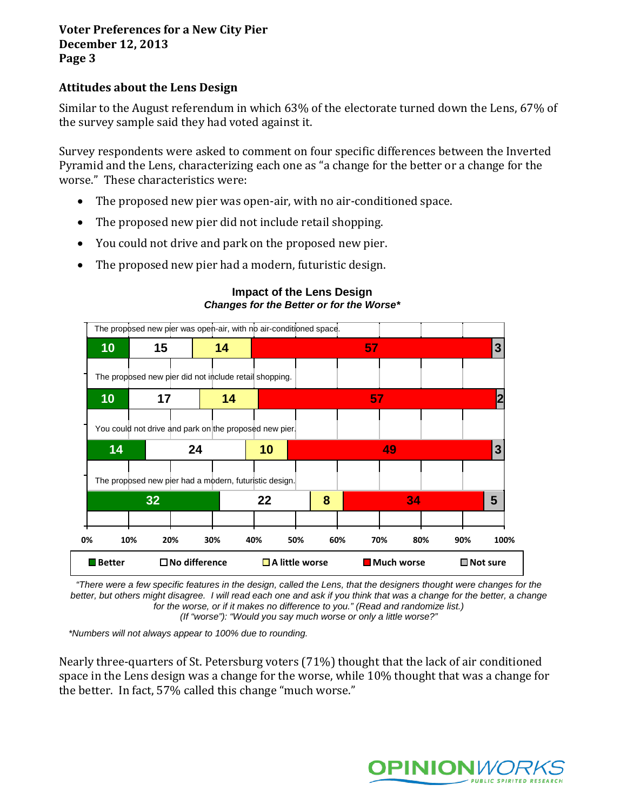## **Attitudes about the Lens Design**

Similar to the August referendum in which 63% of the electorate turned down the Lens, 67% of the survey sample said they had voted against it.

Survey respondents were asked to comment on four specific differences between the Inverted Pyramid and the Lens, characterizing each one as "a change for the better or a change for the worse." These characteristics were:

- The proposed new pier was open-air, with no air-conditioned space.
- The proposed new pier did not include retail shopping.
- You could not drive and park on the proposed new pier.
- The proposed new pier had a modern, futuristic design.



#### **Impact of the Lens Design** *Changes for the Better or for the Worse\**

*"There were a few specific features in the design, called the Lens, that the designers thought were changes for the*  better, but others might disagree. I will read each one and ask if you think that was a change for the better, a change *for the worse, or if it makes no difference to you." (Read and randomize list.)*

*(If "worse"): "Would you say much worse or only a little worse?"*

*\*Numbers will not always appear to 100% due to rounding.*

Nearly three-quarters of St. Petersburg voters (71%) thought that the lack of air conditioned space in the Lens design was a change for the worse, while 10% thought that was a change for the better. In fact, 57% called this change "much worse."

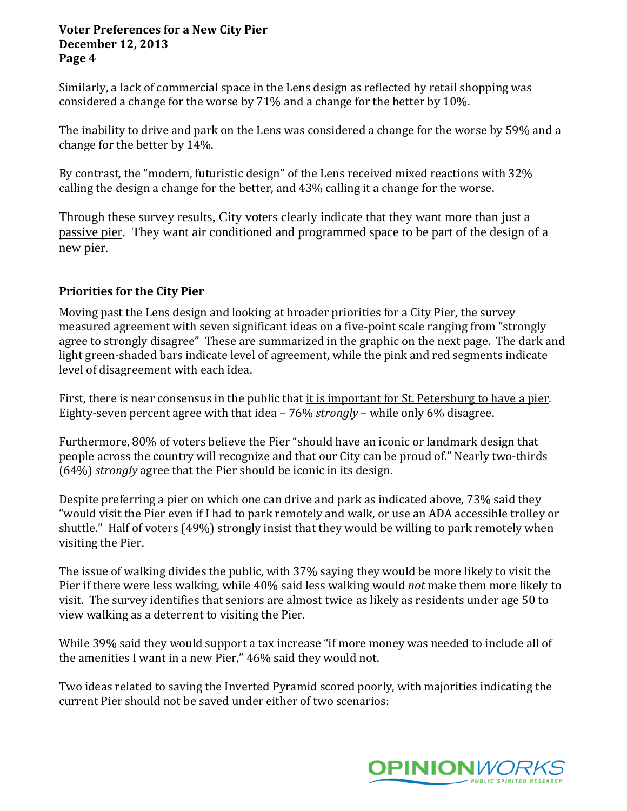Similarly, a lack of commercial space in the Lens design as reflected by retail shopping was considered a change for the worse by 71% and a change for the better by 10%.

The inability to drive and park on the Lens was considered a change for the worse by 59% and a change for the better by 14%.

By contrast, the "modern, futuristic design" of the Lens received mixed reactions with 32% calling the design a change for the better, and 43% calling it a change for the worse.

Through these survey results, City voters clearly indicate that they want more than just a passive pier. They want air conditioned and programmed space to be part of the design of a new pier.

# **Priorities for the City Pier**

Moving past the Lens design and looking at broader priorities for a City Pier, the survey measured agreement with seven significant ideas on a five-point scale ranging from "strongly agree to strongly disagree" These are summarized in the graphic on the next page. The dark and light green-shaded bars indicate level of agreement, while the pink and red segments indicate level of disagreement with each idea.

First, there is near consensus in the public that it is important for St. Petersburg to have a pier. Eighty-seven percent agree with that idea – 76% *strongly* – while only 6% disagree.

Furthermore, 80% of voters believe the Pier "should have an iconic or landmark design that people across the country will recognize and that our City can be proud of." Nearly two-thirds (64%) *strongly* agree that the Pier should be iconic in its design.

Despite preferring a pier on which one can drive and park as indicated above, 73% said they "would visit the Pier even if I had to park remotely and walk, or use an ADA accessible trolley or shuttle." Half of voters (49%) strongly insist that they would be willing to park remotely when visiting the Pier.

The issue of walking divides the public, with 37% saying they would be more likely to visit the Pier if there were less walking, while 40% said less walking would *not* make them more likely to visit. The survey identifies that seniors are almost twice as likely as residents under age 50 to view walking as a deterrent to visiting the Pier.

While 39% said they would support a tax increase "if more money was needed to include all of the amenities I want in a new Pier," 46% said they would not.

Two ideas related to saving the Inverted Pyramid scored poorly, with majorities indicating the current Pier should not be saved under either of two scenarios:

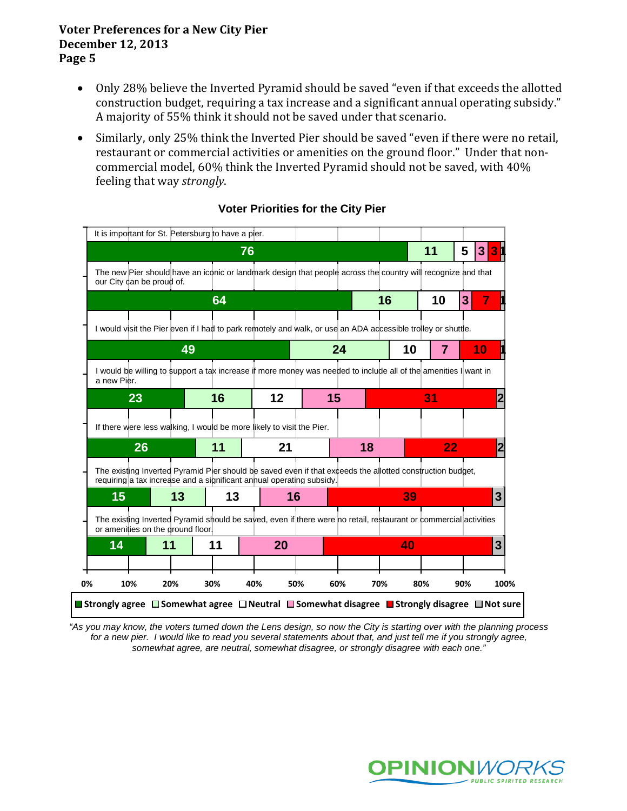- Only 28% believe the Inverted Pyramid should be saved "even if that exceeds the allotted construction budget, requiring a tax increase and a significant annual operating subsidy." A majority of 55% think it should not be saved under that scenario.
- Similarly, only 25% think the Inverted Pier should be saved "even if there were no retail, restaurant or commercial activities or amenities on the ground floor." Under that noncommercial model, 60% think the Inverted Pyramid should not be saved, with 40% feeling that way *strongly*.

| our City dan be proud of.<br>a new Pier.<br>23 | 49 | 64<br>16 | 76<br>$12 \,$                                                         | 24                      | The new Pier should have an iconic or landmark design that people across the country will recognize and that<br>16<br>I would visit the Pier even if I had to park remotely and walk, or use an ADA accessible trolley or shuttle.<br>I would be willing to support a tax increase if more money was needed to include all of the amenities I want in | 11<br>10<br>10 | 5<br>3 <br>3 <sup>1</sup><br>7<br>10<br>$\overline{7}$ | 3                                                                                                                                                                                                                             |
|------------------------------------------------|----|----------|-----------------------------------------------------------------------|-------------------------|-------------------------------------------------------------------------------------------------------------------------------------------------------------------------------------------------------------------------------------------------------------------------------------------------------------------------------------------------------|----------------|--------------------------------------------------------|-------------------------------------------------------------------------------------------------------------------------------------------------------------------------------------------------------------------------------|
|                                                |    |          |                                                                       |                         |                                                                                                                                                                                                                                                                                                                                                       |                |                                                        |                                                                                                                                                                                                                               |
|                                                |    |          |                                                                       |                         |                                                                                                                                                                                                                                                                                                                                                       |                |                                                        |                                                                                                                                                                                                                               |
|                                                |    |          |                                                                       |                         |                                                                                                                                                                                                                                                                                                                                                       |                |                                                        |                                                                                                                                                                                                                               |
|                                                |    |          |                                                                       |                         |                                                                                                                                                                                                                                                                                                                                                       |                |                                                        |                                                                                                                                                                                                                               |
|                                                |    |          |                                                                       |                         |                                                                                                                                                                                                                                                                                                                                                       |                |                                                        |                                                                                                                                                                                                                               |
|                                                |    |          |                                                                       |                         |                                                                                                                                                                                                                                                                                                                                                       |                |                                                        |                                                                                                                                                                                                                               |
|                                                |    |          |                                                                       | 15                      |                                                                                                                                                                                                                                                                                                                                                       | 31             |                                                        |                                                                                                                                                                                                                               |
|                                                |    |          | If there were less walking, I would be more likely to visit the Pier. |                         |                                                                                                                                                                                                                                                                                                                                                       |                |                                                        |                                                                                                                                                                                                                               |
| 26                                             |    | 11       |                                                                       |                         | 18                                                                                                                                                                                                                                                                                                                                                    |                | 22                                                     |                                                                                                                                                                                                                               |
|                                                |    |          |                                                                       |                         |                                                                                                                                                                                                                                                                                                                                                       |                |                                                        |                                                                                                                                                                                                                               |
| 15                                             | 13 |          |                                                                       |                         |                                                                                                                                                                                                                                                                                                                                                       | 39             |                                                        | 3                                                                                                                                                                                                                             |
|                                                |    |          |                                                                       |                         |                                                                                                                                                                                                                                                                                                                                                       |                |                                                        |                                                                                                                                                                                                                               |
| 14                                             | 11 | 11       |                                                                       |                         |                                                                                                                                                                                                                                                                                                                                                       | 40             |                                                        | $\overline{3}$                                                                                                                                                                                                                |
|                                                |    |          |                                                                       |                         |                                                                                                                                                                                                                                                                                                                                                       |                |                                                        |                                                                                                                                                                                                                               |
| 10%                                            |    |          |                                                                       | 50%                     | 70%                                                                                                                                                                                                                                                                                                                                                   | 80%            | 90%                                                    | 100%                                                                                                                                                                                                                          |
|                                                |    |          | or amenities on the ground floor.                                     | 13<br>20%<br>30%<br>40% | 21<br>requiring a tax increase and a significant annual operating subsidy.<br>16<br>20                                                                                                                                                                                                                                                                | 60%            |                                                        | The existing Inverted Pyramid Pier should be saved even if that exceeds the allotted construction budget,<br>The existing Inverted Pyramid should be sayed, even if there were no retail, restaurant or commercial activities |

## **Voter Priorities for the City Pier**

*"As you may know, the voters turned down the Lens design, so now the City is starting over with the planning process*  for a new pier. I would like to read you several statements about that, and just tell me if you strongly agree, *somewhat agree, are neutral, somewhat disagree, or strongly disagree with each one."* 

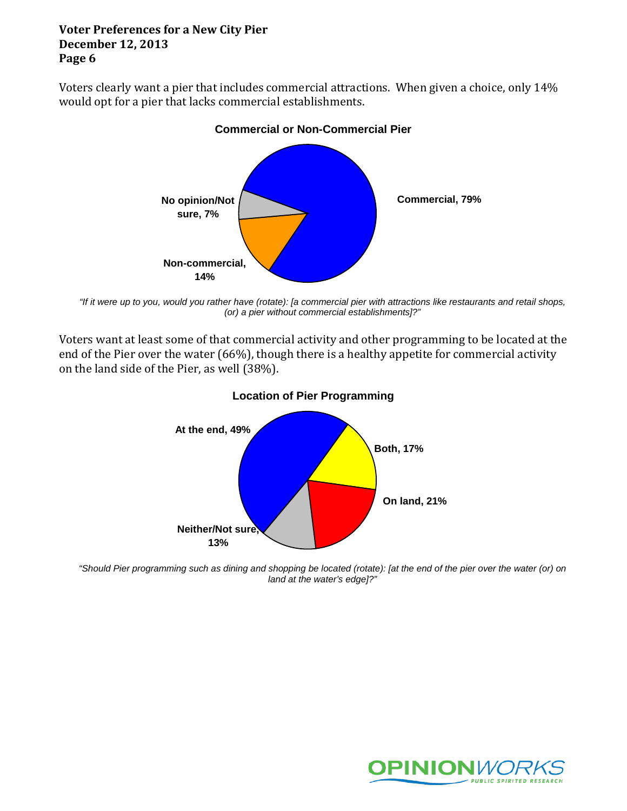Voters clearly want a pier that includes commercial attractions. When given a choice, only 14% would opt for a pier that lacks commercial establishments.



#### **Commercial or Non-Commercial Pier**

*"If it were up to you, would you rather have (rotate): [a commercial pier with attractions like restaurants and retail shops, (or) a pier without commercial establishments]?"*

Voters want at least some of that commercial activity and other programming to be located at the end of the Pier over the water (66%), though there is a healthy appetite for commercial activity on the land side of the Pier, as well (38%).



## **Location of Pier Programming**

*"Should Pier programming such as dining and shopping be located (rotate): [at the end of the pier over the water (or) on land at the water's edge]?"*

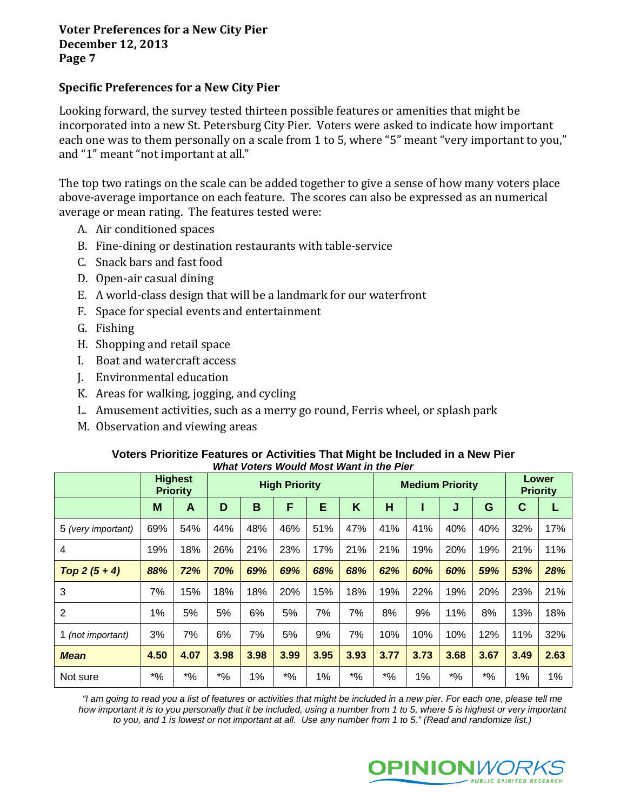## **Specific Preferences for a New City Pier**

Looking forward, the survey tested thirteen possible features or amenities that might be incorporated into a new St. Petersburg City Pier. Voters were asked to indicate how important each one was to them personally on a scale from 1 to 5, where "5" meant "very important to you," and "1" meant "not important at all."

The top two ratings on the scale can be added together to give a sense of how many voters place above-average importance on each feature. The scores can also be expressed as an numerical average or mean rating. The features tested were:

- A. Air conditioned spaces
- B. Fine-dining or destination restaurants with table-service
- C. Snack bars and fast food
- D. Open-air casual dining
- E. A world-class design that will be a landmark for our waterfront
- F. Space for special events and entertainment
- G. Fishing
- H. Shopping and retail space
- I. Boat and watercraft access
- J. Environmental education
- K. Areas for walking, jogging, and cycling
- L. Amusement activities, such as a merry go round, Ferris wheel, or splash park
- M. Observation and viewing areas

#### **Voters Prioritize Features or Activities That Might be Included in a New Pier** *What Voters Would Most Want in the Pier*

|                    | <b>Priority</b>    | <b>Highest</b> | <b>High Priority</b> |      |             |      |        | <b>Medium Priority</b>                        |      |        |             | Lower<br><b>Priority</b> |      |
|--------------------|--------------------|----------------|----------------------|------|-------------|------|--------|-----------------------------------------------|------|--------|-------------|--------------------------|------|
|                    | M                  | A              | D                    | B    | F           | Е    | K      | H                                             |      | J      | G           | C                        |      |
| 5 (very important) | 69%                | 54%            | 44%                  | 48%  | 46%         | 51%  | 47%    | 41%                                           | 41%  | 40%    | 40%         | 32%                      | 17%  |
| 4                  | 19%                | 18%            | 26%                  | 21%  | 23%         | 17%  | 21%    | 21%                                           | 19%  | 20%    | 19%         | 21%                      | 11%  |
| Top $2(5 + 4)$     | 88%                | 72%            | 70%                  | 69%  | 69%         | 68%  | 68%    | 62%                                           | 60%  | 60%    | 59%         | 53%                      | 28%  |
| 3                  | 7%                 | 15%            | 18%                  | 18%  | 20%         | 15%  | 18%    | 19%                                           | 22%  | 19%    | 20%         | 23%                      | 21%  |
| $\overline{2}$     | 1%                 | 5%             | 5%                   | 6%   | 5%          | 7%   | 7%     | 8%                                            | 9%   | 11%    | 8%          | 13%                      | 18%  |
| 1 (not important)  | 3%                 | 7%             | 6%                   | 7%   | 5%          | 9%   | 7%     | 10%                                           | 10%  | 10%    | 12%         | 11%                      | 32%  |
| <b>Mean</b>        | 4.50               | 4.07           | 3.98                 | 3.98 | 3.99        | 3.95 | 3.93   | 3.77                                          | 3.73 | 3.68   | 3.67        | 3.49                     | 2.63 |
| Not sure           | $\boldsymbol{*}$ % | $*9/6$         | $*9/6$               | 1%   | $^{\ast}$ % | 1%   | $*9/6$ | $\boldsymbol{^{*0}}\!\mathstrut_{\mathbf{0}}$ | 1%   | $*9/6$ | $^{\ast}\%$ | 1%                       | 1%   |

*"I am going to read you a list of features or activities that might be included in a new pier. For each one, please tell me*  how important it is to you personally that it be included, using a number from 1 to 5, where 5 is highest or very important *to you, and 1 is lowest or not important at all. Use any number from 1 to 5." (Read and randomize list.)*

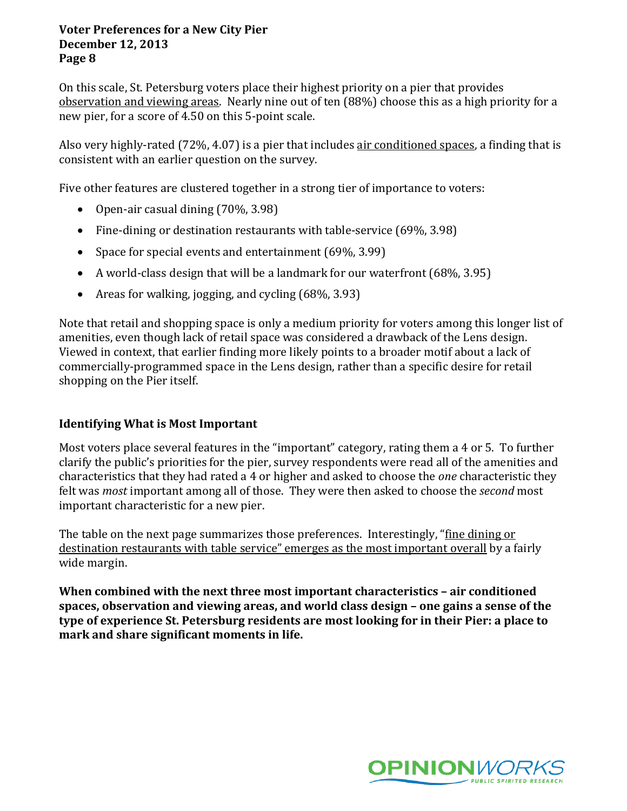On this scale, St. Petersburg voters place their highest priority on a pier that provides observation and viewing areas. Nearly nine out of ten (88%) choose this as a high priority for a new pier, for a score of 4.50 on this 5-point scale.

Also very highly-rated (72%, 4.07) is a pier that includes air conditioned spaces, a finding that is consistent with an earlier question on the survey.

Five other features are clustered together in a strong tier of importance to voters:

- Open-air casual dining (70%, 3.98)
- Fine-dining or destination restaurants with table-service (69%, 3.98)
- Space for special events and entertainment (69%, 3.99)
- A world-class design that will be a landmark for our waterfront (68%, 3.95)
- Areas for walking, jogging, and cycling (68%, 3.93)

Note that retail and shopping space is only a medium priority for voters among this longer list of amenities, even though lack of retail space was considered a drawback of the Lens design. Viewed in context, that earlier finding more likely points to a broader motif about a lack of commercially-programmed space in the Lens design, rather than a specific desire for retail shopping on the Pier itself.

## **Identifying What is Most Important**

Most voters place several features in the "important" category, rating them a 4 or 5. To further clarify the public's priorities for the pier, survey respondents were read all of the amenities and characteristics that they had rated a 4 or higher and asked to choose the *one* characteristic they felt was *most* important among all of those. They were then asked to choose the *second* most important characteristic for a new pier.

The table on the next page summarizes those preferences. Interestingly, "fine dining or destination restaurants with table service" emerges as the most important overall by a fairly wide margin.

**When combined with the next three most important characteristics – air conditioned spaces, observation and viewing areas, and world class design – one gains a sense of the type of experience St. Petersburg residents are most looking for in their Pier: a place to mark and share significant moments in life.**

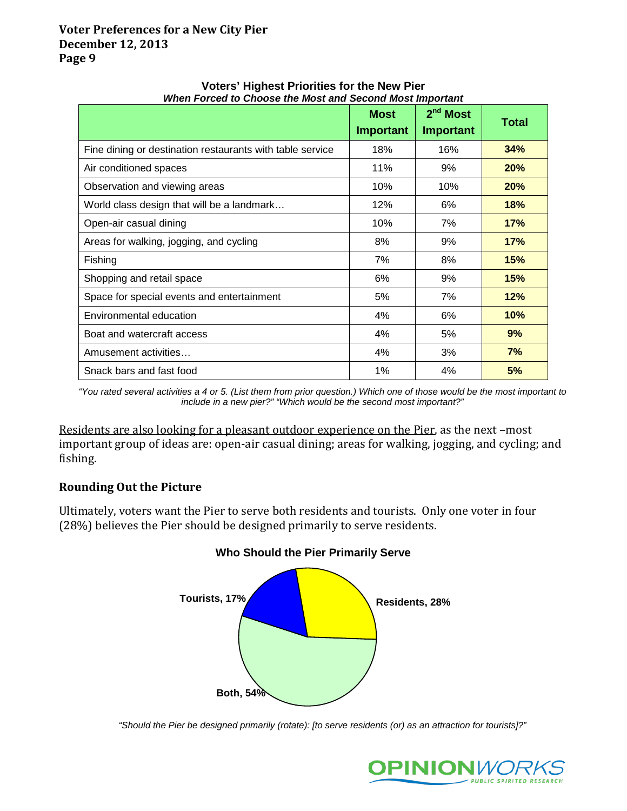|                                                           | <b>Most</b><br>Important | $2nd$ Most<br>Important | <b>Total</b> |
|-----------------------------------------------------------|--------------------------|-------------------------|--------------|
| Fine dining or destination restaurants with table service | 18%                      | 16%                     | 34%          |
| Air conditioned spaces                                    | 11%                      | 9%                      | 20%          |
| Observation and viewing areas                             | 10%                      | 10%                     | 20%          |
| World class design that will be a landmark                | 12%                      | 6%                      | 18%          |
| Open-air casual dining                                    | 10%                      | 7%                      | 17%          |
| Areas for walking, jogging, and cycling                   | 8%                       | 9%                      | 17%          |
| Fishing                                                   | 7%                       | 8%                      | 15%          |
| Shopping and retail space                                 | 6%                       | 9%                      | <b>15%</b>   |
| Space for special events and entertainment                | 5%                       | 7%                      | 12%          |
| Environmental education                                   | 4%                       | 6%                      | <b>10%</b>   |
| Boat and watercraft access                                | 4%                       | 5%                      | 9%           |
| Amusement activities                                      | 4%                       | 3%                      | 7%           |
| Snack bars and fast food                                  | 1%                       | 4%                      | 5%           |

#### **Voters' Highest Priorities for the New Pier** *When Forced to Choose the Most and Second Most Important*

*"You rated several activities a 4 or 5. (List them from prior question.) Which one of those would be the most important to include in a new pier?" "Which would be the second most important?"*

Residents are also looking for a pleasant outdoor experience on the Pier, as the next –most important group of ideas are: open-air casual dining; areas for walking, jogging, and cycling; and fishing.

# **Rounding Out the Picture**

Ultimately, voters want the Pier to serve both residents and tourists. Only one voter in four (28%) believes the Pier should be designed primarily to serve residents.



## **Who Should the Pier Primarily Serve**

*"Should the Pier be designed primarily (rotate): [to serve residents (or) as an attraction for tourists]?"*